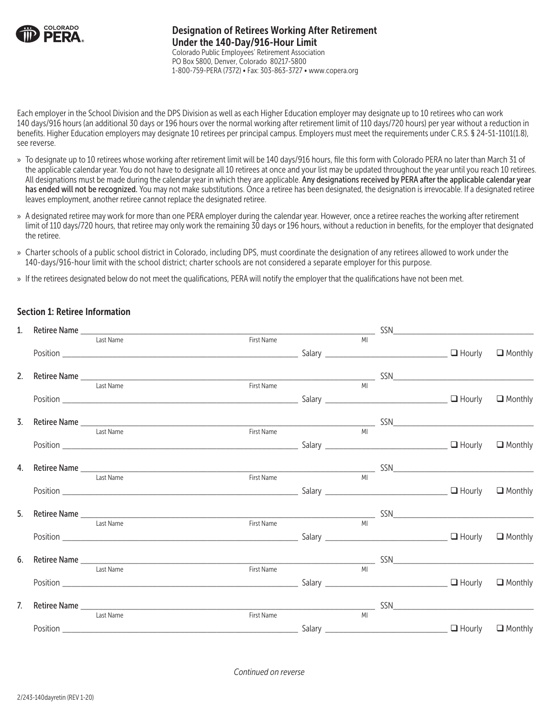

Each employer in the School Division and the DPS Division as well as each Higher Education employer may designate up to 10 retirees who can work 140 days/916 hours (an additional 30 days or 196 hours over the normal working after retirement limit of 110 days/720 hours) per year without a reduction in benefits. Higher Education employers may designate 10 retirees per principal campus. Employers must meet the requirements under C.R.S. § 24-51-1101(1.8), see reverse.

- » To designate up to 10 retirees whose working after retirement limit will be 140 days/916 hours, file this form with Colorado PERA no later than March 31 of the applicable calendar year. You do not have to designate all 10 retirees at once and your list may be updated throughout the year until you reach 10 retirees. All designations must be made during the calendar year in which they are applicable. Any designations received by PERA after the applicable calendar year has ended will not be recognized. You may not make substitutions. Once a retiree has been designated, the designation is irrevocable. If a designated retiree leaves employment, another retiree cannot replace the designated retiree.
- » A designated retiree may work for more than one PERA employer during the calendar year. However, once a retiree reaches the working after retirement limit of 110 days/720 hours, that retiree may only work the remaining 30 days or 196 hours, without a reduction in benefits, for the employer that designated the retiree.
- » Charter schools of a public school district in Colorado, including DPS, must coordinate the designation of any retirees allowed to work under the 140-days/916-hour limit with the school district; charter schools are not considered a separate employer for this purpose.
- » If the retirees designated below do not meet the qualifications, PERA will notify the employer that the qualifications have not been met.

## Section 1: Retiree Information

| 1.               |           |                                                               |                |  |                |
|------------------|-----------|---------------------------------------------------------------|----------------|--|----------------|
|                  | Last Name | First Name                                                    |                |  |                |
|                  |           |                                                               |                |  |                |
| 2.               |           |                                                               |                |  |                |
|                  | Last Name | First Name                                                    | MI             |  |                |
|                  |           | $\mathsf{Position}$ $\_\_\_\_\_\_\_\_\_\_\_\_$ $\_\_\_\_\_\_$ |                |  | $\Box$ Monthly |
| $\overline{3}$ . |           |                                                               |                |  |                |
|                  |           |                                                               |                |  |                |
|                  |           |                                                               |                |  |                |
|                  |           |                                                               |                |  |                |
|                  | Last Name | First Name                                                    | M <sub>1</sub> |  |                |
|                  |           |                                                               |                |  |                |
|                  |           | 5. Retiree Name Last Name Last Name First Name First Name MI  |                |  |                |
|                  |           |                                                               |                |  |                |
|                  |           |                                                               |                |  |                |
| 6.               |           |                                                               |                |  |                |
|                  | Last Name | First Name                                                    | <b>MI</b>      |  |                |
|                  |           |                                                               |                |  |                |
| 7.               |           |                                                               |                |  |                |
|                  | Last Name | First Name                                                    | MI             |  |                |
|                  |           |                                                               |                |  |                |